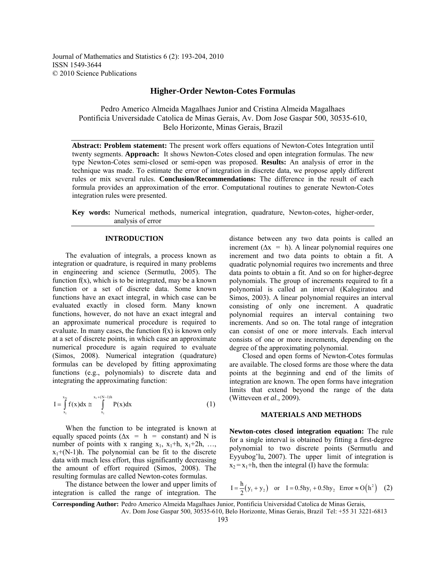Journal of Mathematics and Statistics 6 (2): 193-204, 2010 ISSN 1549-3644 © 2010 Science Publications

### **Higher-Order Newton-Cotes Formulas**

Pedro Americo Almeida Magalhaes Junior and Cristina Almeida Magalhaes Pontificia Universidade Catolica de Minas Gerais, Av. Dom Jose Gaspar 500, 30535-610, Belo Horizonte, Minas Gerais, Brazil

**Abstract: Problem statement:** The present work offers equations of Newton-Cotes Integration until twenty segments. **Approach:** It shows Newton-Cotes closed and open integration formulas. The new type Newton-Cotes semi-closed or semi-open was proposed. **Results:** An analysis of error in the technique was made. To estimate the error of integration in discrete data, we propose apply different rules or mix several rules. **Conclusion/Recommendations:** The difference in the result of each formula provides an approximation of the error. Computational routines to generate Newton-Cotes integration rules were presented.

**Key words:** Numerical methods, numerical integration, quadrature, Newton-cotes, higher-order, analysis of error

### **INTRODUCTION**

 The evaluation of integrals, a process known as integration or quadrature, is required in many problems in engineering and science (Sermutlu, 2005). The function  $f(x)$ , which is to be integrated, may be a known function or a set of discrete data. Some known functions have an exact integral, in which case can be evaluated exactly in closed form. Many known functions, however, do not have an exact integral and an approximate numerical procedure is required to evaluate. In many cases, the function  $f(x)$  is known only at a set of discrete points, in which case an approximate numerical procedure is again required to evaluate (Simos, 2008). Numerical integration (quadrature) formulas can be developed by fitting approximating functions (e.g., polynomials) to discrete data and integrating the approximating function:

$$
I = \int_{x_1}^{x_N} f(x) dx \cong \int_{x_1}^{x_1 + (N-1)h} P(x) dx
$$
 (1)

 When the function to be integrated is known at equally spaced points ( $\Delta x$  = h = constant) and N is number of points with x ranging  $x_1$ ,  $x_1+h$ ,  $x_1+2h$ , ...,  $x_1+(N-1)h$ . The polynomial can be fit to the discrete data with much less effort, thus significantly decreasing the amount of effort required (Simos, 2008). The resulting formulas are called Newton-cotes formulas.

 The distance between the lower and upper limits of integration is called the range of integration. The

distance between any two data points is called an increment ( $\Delta x = h$ ). A linear polynomial requires one increment and two data points to obtain a fit. A quadratic polynomial requires two increments and three data points to obtain a fit. And so on for higher-degree polynomials. The group of increments required to fit a polynomial is called an interval (Kalogiratou and Simos, 2003). A linear polynomial requires an interval consisting of only one increment. A quadratic polynomial requires an interval containing two increments. And so on. The total range of integration can consist of one or more intervals. Each interval consists of one or more increments, depending on the degree of the approximating polynomial.

 Closed and open forms of Newton-Cotes formulas are available. The closed forms are those where the data points at the beginning and end of the limits of integration are known. The open forms have integration limits that extend beyond the range of the data (Witteveen *et al*., 2009).

#### **MATERIALS AND METHODS**

**Newton-cotes closed integration equation:** The rule for a single interval is obtained by fitting a first-degree polynomial to two discrete points (Sermutlu and Eyyubog'lu, 2007). The upper limit of integration is  $x_2 = x_1 + h$ , then the integral (I) have the formula:

$$
I = \frac{h}{2}(y_1 + y_2)
$$
 or  $I = 0.5hy_1 + 0.5hy_2$  Error  $\approx O(h^2)$  (2)

**Corresponding Author:** Pedro Americo Almeida Magalhaes Junior, Pontificia Universidad Catolica de Minas Gerais, Av. Dom Jose Gaspar 500, 30535-610, Belo Horizonte, Minas Gerais, Brazil Tel: +55 31 3221-6813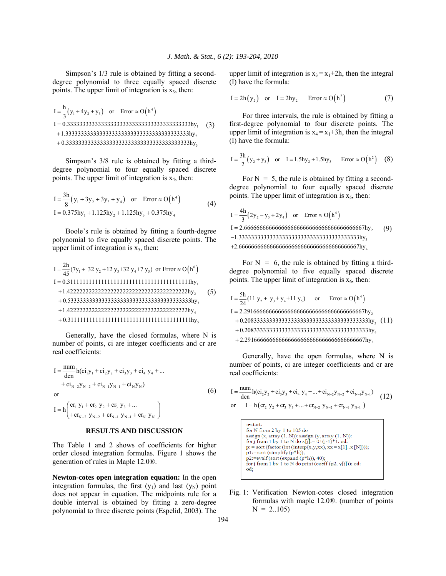Simpson's 1/3 rule is obtained by fitting a seconddegree polynomial to three equally spaced discrete points. The upper limit of integration is  $x_3$ , then:

( ) ( ) <sup>4</sup> 1 23 1 2 3 <sup>h</sup> I y 4y y or Error O h <sup>3</sup> I 0.3333333333333333333333333333333333333333hy 1.3333333333333333333333333333333333333333hy 0.3333333333333333333333333333333333333333hy = ++ ≈ = + + (3)

 Simpson's 3/8 rule is obtained by fitting a thirddegree polynomial to four equally spaced discrete points. The upper limit of integration is  $x_4$ , then:

$$
I = \frac{3h}{8}(y_1 + 3y_2 + 3y_3 + y_4) \text{ or } Error \approx O(h^4)
$$
  
\n
$$
I = 0.375hy_1 + 1.125hy_2 + 1.125hy_3 + 0.375hy_4
$$
 (4)

 Boole's rule is obtained by fitting a fourth-degree polynomial to five equally spaced discrete points. The upper limit of integration is  $x<sub>5</sub>$ , then:

( ) <sup>6</sup> 1 2 3 45 1 2 3 2h I (7y 32 y 12 y +32 y +7 y ) or Error O h <sup>45</sup> I 0.3111111111111111111111111111111111111111hy 1.422222222222222222222222222222222222222hy 0.5333333333333333333333333333333333333333hy 1.4222 = ++ ≈ = + + + <sup>4</sup> 5 22222222222222222222222222222222222hy 0.3111111111111111111111111111111111111111hy + (5)

 Generally, have the closed formulas, where N is number of points, ci are integer coefficients and cr are real coefficients:

$$
I = \frac{num}{den} h(ci_1y_1 + ci_2y_2 + ci_3y_3 + ci_4y_4 + ... + ci_{N-2}y_{N-2} + ci_{N-1}y_{N-1} + ci_Ny_N)
$$
  
or  

$$
I = h \left( \frac{cr_1 y_1 + cr_2 y_2 + cr_3 y_3 + ...}{+ cr_{N-2} y_{N-2} + cr_{N-1} y_{N-1} + cr_N y_N} \right)
$$
 (6)

### **RESULTS AND DISCUSSION**

The Table 1 and 2 shows of coefficients for higher order closed integration formulas. Figure 1 shows the generation of rules in Maple 12.0®.

**Newton-cotes open integration equation:** In the open integration formulas, the first  $(y_1)$  and last  $(y_N)$  point does not appear in equation. The midpoints rule for a double interval is obtained by fitting a zero-degree polynomial to three discrete points (Espelid, 2003). The upper limit of integration is  $x_3 = x_1+2h$ , then the integral (I) have the formula:

$$
I = 2h(y_2) \quad \text{or} \quad I = 2hy_2 \qquad \text{Error} \approx O(h^2) \tag{7}
$$

 For three intervals, the rule is obtained by fitting a first-degree polynomial to four discrete points. The upper limit of integration is  $x_4 = x_1 + 3h$ , then the integral (I) have the formula:

$$
I = \frac{3h}{2}(y_2 + y_3)
$$
 or  $I = 1.5hy_2 + 1.5hy_3$  Error  $\approx O(h^2)$  (8)

For  $N = 5$ , the rule is obtained by fitting a seconddegree polynomial to four equally spaced discrete points. The upper limit of integration is  $x<sub>5</sub>$ , then:

( ) ( ) <sup>4</sup> 23 4 2 3 4 4h I 2y y 2y or Error O h <sup>3</sup> I 2.666666666666666666666666666666666666667hy 1.333333333333333333333333333333333333333hy 2.666666666666666666666666666666666666667hy = −+ ≈ = − + (9)

For  $N = 6$ , the rule is obtained by fitting a thirddegree polynomial to five equally spaced discrete points. The upper limit of integration is  $x<sub>6</sub>$ , then:

( ) <sup>4</sup> 2 34 5 2 3 4 5h I (11 y y + y +11 y ) or Error O h <sup>24</sup> I 2.291666666666666666666666666666666666667hy 0.2083333333333333333333333333333333333333hy 0.2083333333333333333333333333333333333333hy 2.291666666666 =+ ≈ = + + + <sup>5</sup> 666666666666666666666666667hy (11)

 Generally, have the open formulas, where N is number of points, ci are integer coefficients and cr are real coefficients:

$$
I = \frac{num}{den} h(c_{12}y_2 + c_{13}y_3 + c_{14}y_4 + ... + c_{1_{N-2}}y_{N-2} + c_{1_{N-1}}y_{N-1})
$$
  
or 
$$
I = h(c_{12}y_2 + c_{13}y_3 + ... + c_{1_{N-2}}y_{N-2} + c_{1_{N-1}}y_{N-1})
$$
 (12)



Fig. 1: Verification Newton-cotes closed integration formulas with maple 12.0®. (number of points  $N = 2..105$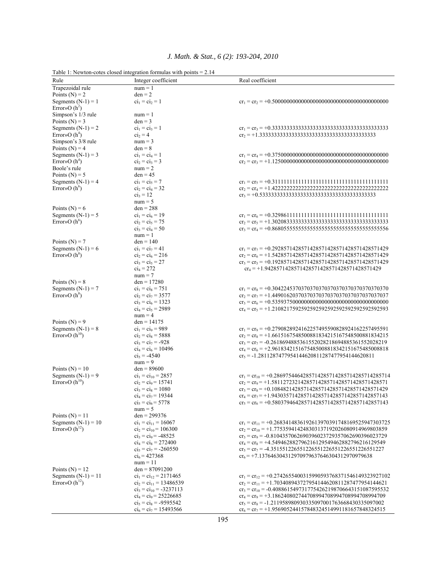|                                         | Table 1: Newton-cotes closed integration formulas with points $= 2.14$ |                                                                                                                            |
|-----------------------------------------|------------------------------------------------------------------------|----------------------------------------------------------------------------------------------------------------------------|
| Rule                                    | Integer coefficient                                                    | Real coefficient                                                                                                           |
| Trapezoidal rule                        | $num = 1$                                                              |                                                                                                                            |
| Points $(N) = 2$                        | $den = 2$                                                              |                                                                                                                            |
| Segments $(N-1) = 1$<br>Error»O $(h^2)$ | $ci_1 = ci_2 = 1$                                                      |                                                                                                                            |
| Simpson's 1/3 rule                      | $num = 1$                                                              |                                                                                                                            |
| Points ( $N$ ) = 3                      | $den = 3$                                                              |                                                                                                                            |
| Segments $(N-1) = 2$                    | $ci_1 = ci_3 = 1$                                                      |                                                                                                                            |
| Error» $O(h^4)$<br>Simpson's 3/8 rule   | $ci_2 = 4$<br>$num = 3$                                                |                                                                                                                            |
| Points $(N) = 4$                        | $den = 8$                                                              |                                                                                                                            |
| Segments $(N-1) = 3$                    | $ci_1 = ci_4 = 1$                                                      |                                                                                                                            |
| Error» $O(h^4)$                         | $ci_2 = ci_3 = 3$                                                      |                                                                                                                            |
| Boole's rule                            | $num = 2$                                                              |                                                                                                                            |
| Points ( $N$ ) = 5                      | $den = 45$                                                             |                                                                                                                            |
| Segments $(N-1) = 4$                    | $ci_1 = ci_5 = 7$                                                      |                                                                                                                            |
| Error» $O(h^6)$                         | $ci_2 = ci_4 = 32$                                                     |                                                                                                                            |
|                                         | $ci_3 = 12$<br>$num = 5$                                               |                                                                                                                            |
| Points (N) = $6$                        | $den = 288$                                                            |                                                                                                                            |
| Segments $(N-1) = 5$                    | $ci_1 = ci_6 = 19$                                                     |                                                                                                                            |
| Error» $O(h^6)$                         | $ci_2 = ci_5 = 75$                                                     |                                                                                                                            |
|                                         | $ci_3 = ci_4 = 50$                                                     |                                                                                                                            |
|                                         | $num = 1$                                                              |                                                                                                                            |
| Points $(N) = 7$                        | $den = 140$                                                            |                                                                                                                            |
| Segments $(N-1) = 6$                    | $ci_1 = ci_7 = 41$                                                     | $cr_1 = cr_7 = +0.2928571428571428571428571428571428571428571429$                                                          |
| Error» $O(h^8)$                         | $ci_2 = ci_6 = 216$<br>$ci_3 = ci_5 = 27$                              | $cr_2 = cr_6 = +1.5428571428571428571428571428571428571429$<br>$cr_3 = cr_5 = +0.1928571428571428571428571428571428571429$ |
|                                         | $ci_4 = 272$                                                           | $cr_4 = +1.9428571428571428571428571428571428571429$                                                                       |
|                                         | $num = 7$                                                              |                                                                                                                            |
| Points $(N) = 8$                        | $den = 17280$                                                          |                                                                                                                            |
| Segments $(N-1) = 7$                    | $ci_1 = ci_8 = 751$                                                    | $cr_1 = cr_8 = +0.3042245370370370370370370370370370370370370$                                                             |
| Error» $O(h^8)$                         | $ci_2 = ci_7 = 3577$                                                   | $cr_2 = cr_7 = +1.4490162037037037037037037037037037037037037$                                                             |
|                                         | $ci_3 = ci_6 = 1323$                                                   |                                                                                                                            |
|                                         | $ci_4 = ci_5 = 2989$<br>$num = 4$                                      | $cr_4 = cr_5 = +1.2108217592592592592592592592592592592593$                                                                |
| Points $(N) = 9$                        | $den = 14175$                                                          |                                                                                                                            |
| Segments $(N-1) = 8$                    | $ci_1 = ci_9 = 989$                                                    | $cr_1 = cr_9 = +0.2790828924162257495590828924162257495591$                                                                |
| Error» $O(h^{10})$                      | $ci_2 = ci_8 = 5888$                                                   | $cr_2 = cr_8 = +1.6615167548500881834215167548500881834215$                                                                |
|                                         | $ci_3 = ci_7 = -928$                                                   | $cr_3 = cr_7 = -0.2618694885361552028218694885361552028219$                                                                |
|                                         | $ci_4 = ci_6 = 10496$                                                  | $cr_4 = cr_6 = +2.9618342151675485008818342151675485008818$                                                                |
|                                         | $ci_5 = -4540$<br>$num = 9$                                            | $cr_5 = -1.2811287477954144620811287477954144620811$                                                                       |
| Points ( $N$ ) = 10                     | $den = 89600$                                                          |                                                                                                                            |
| Segments $(N-1) = 9$                    | $ci_1 = ci_{10} = 2857$                                                | $cr_1 = cr_{10} = +0.2869754464285714285714285714285714285714$                                                             |
| Error» $O(h^{10})$                      | $ci_2 = ci_9 = 15741$                                                  | $cr_2 = cr_9 = +1.5811272321428571428571428571428571428571$                                                                |
|                                         | $ci_3 = ci_8 = 1080$                                                   | $cr_3 = cr_8 = +0.1084821428571428571428571428571428571429$                                                                |
|                                         | $ci_4 = ci_7 = 19344$                                                  | $cr_4 = cr_7 = +1.9430357142857142857142857142857142857143$                                                                |
|                                         | $ci_5 = ci_6 = 5778$                                                   | $cr_5 = cr_6 = +0.5803794642857142857142857142857142857143$                                                                |
| Points $(N) = 11$                       | $num = 5$<br>$den = 299376$                                            |                                                                                                                            |
| Segments $(N-1) = 10$                   | $ci_1 = ci_{11} = 16067$                                               | $cr_1 = cr_{11} = +0.2683414836192613970391748169525947303725$                                                             |
| Error»O $(h^{12})$                      | $ci_2 = ci_{10} = 106300$                                              | $cr_2 = cr_{10} = +1.775359414248303137192026080914969803859$                                                              |
|                                         | $ci_3 = ci_9 = -48525$                                                 | $cr_3 = cr_9 = -0.8104357062690396023729357062690396023729$                                                                |
|                                         | $ci_4 = ci_8 = 272400$                                                 | $cr_4 = cr_8 = +4.549462882796216129549462882796216129549$                                                                 |
|                                         | $ci_5 = ci_7 = -260550$                                                | $cr_5 = cr_7 = -4.351551226551226551226551226551226551227$                                                                 |
|                                         | $ci_6$ = 427368                                                        | $cr_6$ = +7.137646304312970979637646304312970979638                                                                        |
| Points $(N) = 12$                       | $num = 11$<br>$den = 87091200$                                         |                                                                                                                            |
| Segments $(N-1) = 11$                   | $ci_1 = ci_{12} = 2171465$                                             | $cr_1 = cr_{12} = +0.2742655400315990593768371546149323927102$                                                             |
| Error» $O(h^{12})$                      | $ci_2 = ci_{11} = 13486539$                                            | $cr_2 = cr_{11} = +1.703408943727954144620811287477954144621$                                                              |
|                                         | $ci_3 = ci_{10} = -3237113$                                            | $cr_3 = cr_{10} = -0.4088615497317754262198706643151087595532$                                                             |
|                                         | $ci_4 = ci_9 = 25226685$                                               | $cr_4 = cr_9 = +3.186240802744708994708994708994708994709$                                                                 |
|                                         | $ci_5 = ci_8 = -9595542$                                               | $cr_5 = cr_8 = -1.211958980930335097001763668430335097002$                                                                 |
|                                         | $ci_6 = ci_7 = 15493566$                                               | $cr_6 = cr_7 = +1.956905244157848324514991181657848324515$                                                                 |

# *J. Math. & Stat., 6 (2): 193-204, 2010*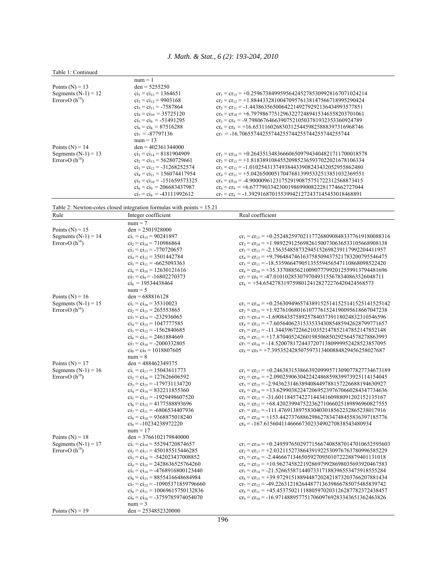|  | Table 1: Continued |
|--|--------------------|
|  |                    |

|                       | $num = 1$                        |                                                                |
|-----------------------|----------------------------------|----------------------------------------------------------------|
| Points $(N) = 13$     | $den = 5255250$                  |                                                                |
| Segments $(N-1) = 12$ | $ci_1 = ci_{13} = 1364651$       | $cr_1 = cr_{13} = +0.2596738499595642452785309928167071024214$ |
| Error» $O(h^{14})$    | $ci_2 = ci_{12} = 9903168$       | $cr_2 = cr_1$ , = +1.884433281004709576138147566718995290424   |
|                       | $ci_3 = ci_{11} = -7587864$      | $cr_3 = cr_{11} = -1.443863565006422149279292136434993577851$  |
|                       | $ci_4 = ci_{10} = 35725120$      | $cr_4 = cr_{10} = +6.797986775129632272489415346558203701061$  |
|                       | $ci_5 = ci_9 = -51491295$        | $cr_s = cr_9 = -9.798067646639075210503781932353360924789$     |
|                       | $ci_6 = ci_8 = 87516288$         | $cr_6 = cr_8 = +16.65311602683031254459825888397316968746$     |
|                       | $ci_7 = -87797136$               | $cr_7 = -16.70655744255744255744255744255744255744$            |
|                       | $num = 13$                       |                                                                |
| Points $(N) = 14$     | $den = 402361344000$             |                                                                |
| Segments $(N-1) = 13$ | $ci_1 = ci_{14} = 8181904909$    | $cr_1 = cr_{14} = +0.2643513483666065097943404821711700018578$ |
| Error» $O(h^{14})$    | $ci_2 = ci_{13} = 56280729661$   | $cr_2 = cr_{13} = +1.818389108455209852365937022021678106334$  |
|                       | $ci_3 = ci_{12} = -31268252574$  | $cr_3 = cr_1 = -1.010254313749384433908243432052955862480$     |
|                       | $ci_4 = ci_{11} = 156074417954$  | $cr_4 = cr_{11} = +5.042650005170476813995332513851032369551$  |
|                       | $ci_5 = ci_{10} = -151659573325$ | $cr_5 = cr_{10} = -4.900009612317529190875751722312568873415$  |
|                       | $ci_6 = ci_9 = 206683437987$     | $cr_6 = cr_9 = +6.677790334230019869900822281774662727044$     |
|                       | $ci_7 = ci_8 = -43111992612$     | $cr_7 = cr_8 = -1.392916870155399421272437145453018468891$     |

Table 2: Newton-cotes closed integration formulas with points = 15.21

| Rule                  | Table 2. Newton-colles closed integration formulas with points $-13.21$<br>Integer coefficient | Real coefficient                                               |
|-----------------------|------------------------------------------------------------------------------------------------|----------------------------------------------------------------|
|                       | $num = 7$                                                                                      |                                                                |
| Points $(N) = 15$     | $den = 2501928000$                                                                             |                                                                |
| Segments $(N-1) = 14$ | $ci_1 = ci_{15} = 90241897$                                                                    | $cr_1 = cr_{15} = +0.2524825970211772680908483377619180088316$ |
| Error» $O(h^{16})$    | $ci_2 = ci_{14} = 710986864$                                                                   | $cr_2 = cr_{14} = +1.989229125698261500730636533105668908138$  |
|                       | $ci_3 = ci_{13} = -770720657$                                                                  | $cr_3 = cr_{13} = -2.156354858732945152698239117992204411957$  |
|                       | $ci_4 = ci_{12} = 3501442784$                                                                  | $cr_4 = cr_1$ , = +9.796484746163758509437521783200795546475   |
|                       | $ci_5 = ci_{11} = -6625093363$                                                                 | $cr_5 = cr_{11} = -18.53596647905135559456547110868098522420$  |
|                       | $ci_6 = ci_{10} = 12630121616$                                                                 | $cr_6 = cr_{10} = +35.33708856210090777992012559913794481696$  |
|                       | $ci_7 = ci_9 = -16802270373$                                                                   | $cr_7 = cr_9 = -47.01010285307970493155678340863526048711$     |
|                       | $ci_8 = 19534438464$                                                                           | $cr_s = +54.65427831975980124128272276420424568573$            |
|                       | $num = 5$                                                                                      |                                                                |
| Points (N) = $16$     | $den = 688816128$                                                                              |                                                                |
| Segments $(N-1) = 15$ | $ci_1 = ci_{16} = 35310023$                                                                    | $cr_1 = cr_{16} = +0.2563094965743891525141525141525141525142$ |
| Error» $O(h^{16})$    | $ci_2 = ci_{15} = 265553865$                                                                   | $cr_2 = cr_{15} = +1.927610680161077761524190095618667047238$  |
|                       | $ci_3 = ci_{14} = -232936065$                                                                  | $cr_3 = cr_{14} = -1.690843575892578403739118024832310546596$  |
|                       | $ci_4 = ci_{13} = 1047777585$                                                                  | $cr_4 = cr_{13} = +7.605640623153353343085485942628799771657$  |
|                       | $ci_5 = ci_{12} = -1562840685$                                                                 | $cr_5 = cr_{12} = -11.34439672266210352147852147852147852148$  |
|                       | $ci_6 = ci_{11} = 2461884669$                                                                  | $cr_6 = cr_{11} = +17.87040524260198506850292564578278863993$  |
|                       | $ci_7 = ci_{10} = -2000332805$                                                                 | $cr_7 = cr_{10} = -14.5200781724437207138099952428523857095$   |
|                       | $ci_8 = ci_9 = 1018807605$                                                                     | $cr_s = cr_9 = +7.395352428507597313400884829456258027687$     |
|                       | $num = 8$                                                                                      |                                                                |
| Points $(N) = 17$     | den = $488462349375$                                                                           |                                                                |
| Segments $(N-1) = 16$ | $ci_1 = ci_{17} = 15043611773$                                                                 | $cr_1 = cr_{17} = +0.2463831538663920999571309077827734673189$ |
| Error» $O(h^{18})$    | $ci_2 = ci_{16} = 127626606592$                                                                | $cr_2 = cr_{16} = +2.090259063042242486859839973925114154045$  |
|                       | $ci_3 = ci_{15} = -179731134720$                                                               | $cr_3 = cr_{15} = -2.943623146389408449788157226688194630927$  |
|                       | $ci_4 = ci_{14} = 832211855360$                                                                | $cr_4 = cr_{14} = +13.62990382247206952397670660284347734636$  |
|                       | $ci_5 = ci_{13} = -1929498607520$                                                              | $cr_5 = cr_{13} = -31.60118457422714434160988091202152135167$  |
|                       | $ci_6 = ci_{12} = 4177588893696$                                                               | $cr_6 = cr_{12} = +68.42023994752236271066025189896960827555$  |
|                       | $ci_7 = ci_{11} = -6806534407936$                                                              | $cr_7 = cr_{11} = -111.4769138975830403018562232865238017916$  |
|                       | $ci_8 = ci_{10} = 9368875018240$                                                               | $cr_8 = cr_{10} = +153.4427376886298627834748455836397185776$  |
|                       | $ci_9$ = -10234238972220                                                                       | $cr_9 = -167.6156041146666730233490270838543480934$            |
|                       | $num = 17$                                                                                     |                                                                |
| Points $(N) = 18$     | $den = 3766102179840000$                                                                       |                                                                |
| Segments $(N-1) = 17$ | $ci_1 = ci_{18} = 55294720874657$                                                              | $cr_1 = cr_{18} = +0.2495976502977156674085870147010652595603$ |
| Error» $O(h^{18})$    | $ci_2 = ci_{17} = 450185515446285$                                                             | $cr_2 = cr_{17} = +2.032115273864391922530976763780996585229$  |
|                       | $ci_3 = ci_{16} = -542023437008852$                                                            | $cr_3 = cr_{16} = -2.446667134650592709501072228879401131018$  |
|                       | $ci_4 = ci_{15} = 2428636525764260$                                                            | $cr_4 = cr_{15} = +10.96274582219286979928698035693920467583$  |
|                       | $ci_5 = ci_{14} = -4768916800123440$                                                           | $cr_5 = cr_{14} = -21.52665587144073317188396553475918555284$  |
|                       | $ci_6 = ci_{13} = 8855416648684984$                                                            | $cr_6 = cr_{13} = +39.97291518894487202421873203766207881434$  |
|                       | $ci_7 = ci_{12} = -10905371859796660$                                                          | $cr_7 = cr_{12} = -49.22631218264487713639866785075485839742$  |
|                       | $ci_8 = ci_{11} = 10069615750132836$                                                           | $cr_8 = cr_{11} = +45.45375021118805970203126287782372438457$  |
|                       | $ci_9 = ci_{10} = -3759785974054070$                                                           | $cr_9 = cr_{10} = -16.97148895775170609769283343651362463826$  |
|                       | $num = 3$                                                                                      |                                                                |
| Points $(N) = 19$     | $den = 2534852320000$                                                                          |                                                                |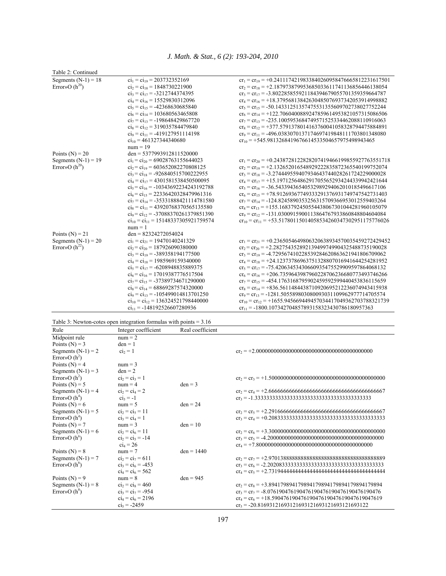*J. Math. & Stat., 6 (2): 193-204, 2010* 

| Table 2: Continued    |                                            |                                                                  |
|-----------------------|--------------------------------------------|------------------------------------------------------------------|
| Segments $(N-1) = 18$ | $ci_1 = ci_{19} = 203732352169$            | $cr_1 = cr_{19} = +0.2411174219833840260958476665812231617501$   |
| Error»O $(h^{20})$    | $ci_2 = ci_{18} = 1848730221900$           | $cr_2 = cr_{18} = +2.187973879953685033611741136856446138054$    |
|                       | $ci_3 = ci_{17} = -3212744374395$          | $cr_3 = cr_{17} = -3.802285855921184394679055701359359664787$    |
|                       | $ci_4 = ci_{16} = 15529830312096$          | $cr_4 = cr_{16} = +18.37956813842630485076937342053914998882$    |
|                       | $ci_5 = ci_{15} = -42368630685840$         | $cr_5 = cr_{15} = -50.14331251357475531355609702738027752244$    |
|                       | $ci_6 = ci_{14} = 103680563465808$         | $cr_6 = cr_{14} = +122.7060400889247859614953821057315086506$    |
|                       | $ci_7 = ci_{13} = -198648429867720$        | $cr_7 = cr_{13} = -235.1005953684749571525334462088110916063$    |
|                       | $ci_8 = ci_{12} = 319035784479840$         | $cr_s = cr_1 = +377.5791378014163760041058328794475884891$       |
|                       | $ci_9 = ci_{11} = -419127951114198$        | $cr_9 = cr_{11} = -496.0383070137174697419848111703801348080$    |
|                       | $ci_{10}$ = 461327344340680                | $cr_{10} = +545.9813268419676614533504657975498943465$           |
|                       | $num = 19$                                 |                                                                  |
| Points $(N) = 20$     | $den = 5377993912811520000$                |                                                                  |
| Segments $(N-1) = 19$ | $ci_1 = ci_{20} = 69028763155644023$       | $cr_1 = cr_{20} = +0.2438728122828207419466199855927763551718$   |
| Error»O $(h^{20})$    | $ci_2 = ci_{19} = 603652082270808125$      | $cr_2 = cr_{19} = +2.132652016548929222835872365540199752074$    |
|                       | $ci_3 = ci_{18} = -926840515700222955$     | $cr_3 = cr_{18} = -3.274449559407934643744028261724229000028$    |
|                       | $ci_4 = ci_{17} = 4301581538450500095$     | $cr_4 = cr_{17} = +15.19712564862917055652934244339942421644$    |
|                       | $ci_5 = ci_{16} = -10343692234243192788$   | $cr_5 = cr_{16} = -36.54339436540532989294062010185496617106$    |
|                       | $ci_6 = ci_{15} = 22336420328479961316$    | $cr_6 = cr_{15} = +78.91269367749333291376931749747542731403$    |
|                       | $ci_7 = ci_{14} = -35331888421114781580$   | $cr_7 = cr_{14} = -124.8245890353256315709366953012559403264$    |
|                       | $ci_8 = ci_{11} = 43920768370565135580$    | $cr_s = cr_{13} = +155.1683792450554438067301044281960105079$    |
|                       | $ci_9 = ci_{12} = -37088370261379851390$   | $cr_9 = cr_{12} = -131.0300915900113864767933860848804604084$    |
|                       | $ci_{10} = ci_{11} = 15148337305921759574$ | $cr_{10} = cr_{11} = +53.51780115014058534260347302951175776026$ |
|                       | $num = 1$                                  |                                                                  |
| Points $(N) = 21$     | $den = 82324272054024$                     |                                                                  |
| Segments $(N-1) = 20$ | $ci_1 = ci_{21} = 19470140241329$          | $cr_1 = cr_{21} = +0.2365054649806320638934570035459272429452$   |
| Error»O $(h^{22})$    | $ci_2 = ci_{20} = 187926090380000$         | $cr_2 = cr_{20} = +2.282754352892139499749904325488735190028$    |
|                       | $ci_3 = ci_{19} = -389358194177500$        | $cr_3 = cr_{19} = -4.729567410228539284620863621941806709062$    |
|                       | $ci_4 = ci_{18} = 1985969159340000$        | $cr_4 = cr_{18} = +24.12373786963751328807016941644254281952$    |
|                       | $ci_5 = ci_{17} = -6208948835889375$       | $cr_5 = cr_{17} = -75.42063453430660935475529909597864068132$    |
|                       | $ci_6 = ci_{16} = 17019387776517504$       | $cr_6 = cr_{16} = +206.7359643987960228706236680773493746266$    |
|                       | $ci_7 = ci_{15} = -37389734671290000$      | $cr_7 = cr_{15} = -454.1763168795902459592599440453836115659$    |
|                       | $ci_8 = ci_{14} = 68869287574320000$       | $cr_8 = cr_{14} = +836.5611484438710920695212236074943415938$    |
|                       | $ci_9 = ci_{13} = -105499014813701250$     | $cr_9 = cr_{13} = -1281.505589803080093031109962977714705574$    |
|                       | $ci_{10} = ci_{12} = 136324521798440000$   | $cr_{10} = cr_{12} = +1655.945669449457034417049362703788321739$ |
|                       | $ci_{11} = -148192526607280936$            | $cr_{11} = -1800.107342704857893158323430786180957363$           |

| Table 3: Newton-cotes open integration formulas with points $= 3.16$ |  |  |
|----------------------------------------------------------------------|--|--|
|                                                                      |  |  |

| Rule                  | Integer coefficient  | Real coefficient |                                                                  |
|-----------------------|----------------------|------------------|------------------------------------------------------------------|
| Midpoint rule         | $num = 2$            |                  |                                                                  |
| Points $(N) = 3$      | $den = 1$            |                  |                                                                  |
| Segments $(N-1) = 2$  | $ci2 = 1$            |                  |                                                                  |
| Error» $O(h^2)$       |                      |                  |                                                                  |
| Points $(N) = 4$      | $num = 3$            |                  |                                                                  |
| Segments $(N-1) = 3$  | $den = 2$            |                  |                                                                  |
| Error» $O(h^2)$       | $ci_2 = ci_3 = 1$    |                  |                                                                  |
| Points $(N) = 5$      | $num = 4$            | $den = 3$        |                                                                  |
| Segments $(N-1) = 4$  | $ci_2 = ci_4 = 2$    |                  |                                                                  |
| Error» $O(h^4)$       | $ci_3 = -1$          |                  |                                                                  |
| Points $(N) = 6$      | $num = 5$            | $den = 24$       |                                                                  |
| Segments $(N-1) = 5$  | $ci_2 = ci_5 = 11$   |                  |                                                                  |
| Error» $O(h^4)$       | $ci_3 = ci_4 = 1$    |                  |                                                                  |
| Points ( $N$ ) = 7    | $num = 3$            | $den = 10$       |                                                                  |
| Segments $(N-1) = 6$  | $ci_2 = ci_6 = 11$   |                  |                                                                  |
| Error» $O(h^6)$       | $ci_2 = ci_5 = -14$  |                  |                                                                  |
|                       | $ci_4 = 26$          |                  |                                                                  |
| Points $(N) = 8$      | $num = 7$            | $den = 1440$     |                                                                  |
| Segments $(N-1) = 7$  | $ci_2 = ci_7 = 611$  |                  |                                                                  |
| Error» $O(h^{\circ})$ | $ci_3 = ci_6 = -453$ |                  |                                                                  |
|                       | $ci_4 = ci_6 = 562$  |                  |                                                                  |
| Points $(N) = 9$      | $num = 8$            | $den = 945$      |                                                                  |
| Segments $(N-1) = 8$  | $ci_2 = ci_8 = 460$  |                  | $cr_2 = cr_8 = +3.894179894179894179894179894179894179894179894$ |
| Error» $O(h^8)$       | $ci_3 = ci_7 = -954$ |                  | $cr_3 = cr_7 = -8.076190476190476190476190476190476190476190476$ |
|                       | $ci_4 = ci_6 = 2196$ |                  | $cr_4 = cr_6 = +18.59047619047619047619047619047619047619$       |
|                       | $ci_5 = -2459$       |                  | $cr_5 = -20.81693121693121693121693121693121693122$              |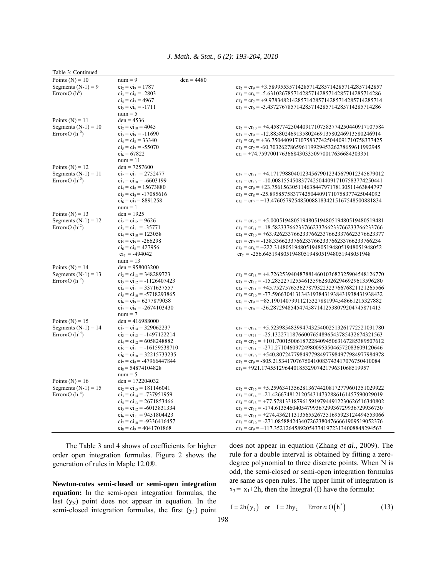|  |  |  |  |  | J. Math. & Stat., 6 (2): 193-204, 2010 |  |
|--|--|--|--|--|----------------------------------------|--|
|--|--|--|--|--|----------------------------------------|--|

| Table 3: Continued    |                                 |              |                                                               |
|-----------------------|---------------------------------|--------------|---------------------------------------------------------------|
| Points $(N) = 10$     | $num = 9$                       | $den = 4480$ |                                                               |
| Segments $(N-1) = 9$  | $ci_2 = ci_9 = 1787$            |              | $cr_2 = cr_9 = +3.589955357142857142857142857142857142857$    |
| Error» $O(h^8)$       | $ci_3 = ci_8 = -2803$           |              | $cr_3 = cr_8 = -5.631026785714285714285714285714285714286$    |
|                       | $ci_4 = ci_7 = 4967$            |              | $cr_4 = cr_7 = +9.978348214285714285714285714285714285714$    |
|                       | $ci_5 = ci_6 = -1711$           |              | $cr_5 = cr_6 = -3.437276785714285714285714285714285714286$    |
|                       | $num = 5$                       |              |                                                               |
| Points $(N) = 11$     | $den = 4536$                    |              |                                                               |
| Segments $(N-1) = 10$ | $ci_2 = ci_{10} = 4045$         |              | $cr_2 = cr_{10} = +4.458774250440917107583774250440917107584$ |
| Error»O $(h^{10})$    | $ci_3 = ci_9 = -11690$          |              | $cr_3 = cr_9 = -12.88580246913580246913580246913580246914$    |
|                       | $ci_4 = ci_8 = 33340$           |              | $cr_4 = cr_8 = +36.75044091710758377425044091710758377425$    |
|                       | $ci_5 = ci_7 = -55070$          |              | $cr_5 = cr_7 = -60.70326278659611992945326278659611992945$    |
|                       | $ci_6 = 67822$                  |              | $cr_6$ = +74.75970017636684303350970017636684303351           |
|                       | $num = 11$                      |              |                                                               |
|                       | $den = 7257600$                 |              |                                                               |
| Points $(N) = 12$     |                                 |              |                                                               |
| Segments $(N-1) = 11$ | $ci_2 = ci_{11} = 2752477$      |              | $cr_2 = cr_{11} = +4.171798804012345679012345679012345679012$ |
| Error»O $(h^{10})$    | $ci_3 = ci_{10} = -6603199$     |              | $cr_3 = cr_{10} = -10.00815545083774250440917107583774250441$ |
|                       | $ci_4 = ci_9 = 15673880$        |              | $cr_4 = cr_9 = +23.75615630511463844797178130511463844797$    |
|                       | $ci_5 = ci_8 = -17085616$       |              | $cr_5 = cr_8 = -25.89585758377425044091710758377425044092$    |
|                       | $ci_6 = ci_7 = 8891258$         |              | $cr_6 = cr_7 = +13.47605792548500881834215167548500881834$    |
|                       | $num = 1$                       |              |                                                               |
| Points $(N) = 13$     | $den = 1925$                    |              |                                                               |
| Segments $(N-1) = 12$ | $ci_2 = ci_{12} = 9626$         |              | $cr_2 = cr_{12} = +5.000519480519480519480519480519480519481$ |
| Error»O $(h^{12})$    | $ci_3 = ci_{11} = -35771$       |              | $cr_3 = cr_{11} = -18.58233766233766233766233766233766233766$ |
|                       | $ci_4 = ci_{10} = 123058$       |              | $cr_4 = cr_{10} = +63.92623376623376623376623376623376623377$ |
|                       | $ci_5 = ci_9 = -266298$         |              | $cr_5 = cr_9 = -138.3366233766233766233766233766233766234$    |
|                       | $ci_6 = ci_8 = 427956$          |              | $cr_6 = cr_8 = +222.3148051948051948051948051948051948052$    |
|                       | $ci_7 = -494042$                |              | $cr_7 = -256.6451948051948051948051948051948051948$           |
|                       | $num = 13$                      |              |                                                               |
| Points ( $N$ ) = 14   | $den = 958003200$               |              |                                                               |
| Segments $(N-1) = 13$ | $ci_2 = ci_{13} = 348289723$    |              | $cr_2 = cr_{13} = +4.726253940487881460103682325904548126770$ |
| Error»O $(h^{12})$    | $ci_3 = ci_{12} = -1126407423$  |              | $cr_3 = cr_{12} = -15.28522712554613596280262946929613596280$ |
|                       | $ci_4 = ci_{11} = 3371637557$   |              | $cr_4 = cr_{11} = +45.75275765362787932232376676821121265566$ |
|                       | $ci_5 = ci_{10} = -5718293865$  |              | $cr_5 = cr_{10} = -77.59663041313431938431938431938431938432$ |
|                       | $ci_6 = ci_9 = 6277879038$      |              | $cr_6 = cr_9 = +85.19014079911215327881994548661215327882$    |
|                       | $ci_7 = ci_8 = -2674103430$     |              | $cr_7 = cr_8 = -36.28729485454745871412538079204745871413$    |
|                       | $num = 7$                       |              |                                                               |
| Points $(N) = 15$     | $den = 416988000$               |              |                                                               |
| Segments $(N-1) = 14$ | $ci_2 = ci_{14} = 329062237$    |              | $cr_2 = cr_{14} = +5.523985483994743254002513261772521031780$ |
| Error»O $(h^{14})$    | $ci_3 = ci_{13} = -1497122214$  |              | $cr_3 = cr_{13} = -25.13227118766007654896543785432674321563$ |
|                       | $ci_4 = ci_{12} = 6058248882$   |              | $cr_4 = cr_1$ , = +101.7001500618722840945063167285389507612  |
|                       | $ci_5 = ci_{11} = -16159538710$ |              | $cr_5 = cr_{11} = -271.2710460972498009535046572083609120646$ |
|                       | $ci_6 = ci_{10} = 32215733235$  |              | $cr_6 = cr_{10} = +540.8072477984977984977984977984977984978$ |
|                       | $ci_7 = ci_9 = -47966447844$    |              | $cr_7 = cr_9 = -805.2153417076750410083743417076750410084$    |
|                       | $ci_8$ = 54874104828            |              | $cr_8 = +921.1745512964401853290742179631068519957$           |
|                       | $num = 5$                       |              |                                                               |
| Points $(N) = 16$     | $den = 172204032$               |              |                                                               |
| Segments $(N-1) = 15$ | $ci_2 = ci_{15} = 181146041$    |              | $cr_2 = cr_{15} = +5.259634135628136744208172779601351029922$ |
| Error»O $(h^{14})$    | $ci_3 = ci_{14} = -737951959$   |              | $cr_3 = cr_{14} = -21.42667481212054314732886161457590029019$ |
|                       | $ci_4 = ci_{13} = 2671853466$   |              | $cr_4 = cr_{13} = +77.57813318796159197944912230626516340802$ |
|                       | $ci_5 = ci_{12} = -6013831334$  |              | $cr_5 = cr_{12} = -174.6135460405479936729936729936729936730$ |
|                       | $ci_6 = ci_{11} = 9451804423$   |              | $cr_6 = cr_{11} = +274.4362113135655267351695923124494553066$ |
|                       |                                 |              |                                                               |
|                       | $ci_7 = ci_{10} = -9336416457$  |              | $cr_7 = cr_{10} = -271.0858842434072623804766661909519052376$ |
|                       | $ci_8 = ci_9 = 4041701868$      |              | $cr_8 = cr_9 = +117.3521264589205437419723134008848294563$    |

 The Table 3 and 4 shows of coefficients for higher order open integration formulas. Figure 2 shows the generation of rules in Maple 12.0®.

**Newton-cotes semi-closed or semi-open integration equation:** In the semi-open integration formulas, the last  $(y_N)$  point does not appear in equation. In the semi-closed integration formulas, the first  $(y_1)$  point

does not appear in equation (Zhang *et al*., 2009). The rule for a double interval is obtained by fitting a zerodegree polynomial to three discrete points. When N is odd, the semi-closed or semi-open integration formulas are same as open rules. The upper limit of integration is  $x_3 = x_1+2h$ , then the Integral (I) have the formula:

$$
I = 2h(y_2) \quad \text{or} \quad I = 2hy_2 \qquad \text{Error} \approx O(h^2) \tag{13}
$$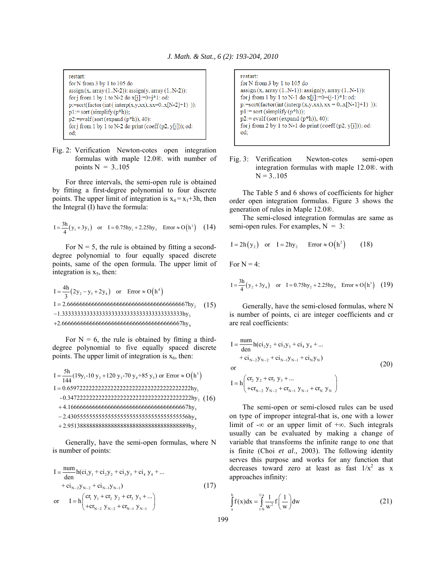restart:  ${\rm for\,N}$  from 3 by 1 to 105 do  $assign(x, array(1..N-2))$ :  $assign(y, array(1..N-2))$ : for j from 1 by 1 to N-2 do  $x[j]:=0+j*1$ : od: p:=sort(factor(int(interp(x,y,xx), xx=0.x[N-2]+1))):  $p1:=$  sort (simplify  $(p*h)$ );  $p2:=evalf(sort(expand(p*h)), 40):$ for j from 1 by 1 to N-2 do print (coeff (p2, y[j])); od: od:

Fig. 2: Verification Newton-cotes open integration formulas with maple 12.0®. with number of points  $N = 3.105$ 

 For three intervals, the semi-open rule is obtained by fitting a first-degree polynomial to four discrete points. The upper limit of integration is  $x_4 = x_1 + 3h$ , then the Integral (I) have the formula:

$$
I = \frac{3h}{4}(y_1 + 3y_3) \quad \text{or} \quad I = 0.75hy_1 + 2.25hy_3 \quad \text{Error} \approx O\left(h^3\right) \tag{14}
$$

For  $N = 5$ , the rule is obtained by fitting a seconddegree polynomial to four equally spaced discrete points, same of the open formula. The upper limit of integration is  $x<sub>5</sub>$ , then:

 $I = \frac{4h}{3} (2y_2 - y_3 + 2y_4)$  or Error  $\approx O(h^4)$  $I = 2.6666666666666666666666666666666667$ hy<sub>2</sub> 3 1.333333333333333333333333333333333333333hy −  $+2.6666666666666666666666666666666667$ hy (15)

For  $N = 6$ , the rule is obtained by fitting a thirddegree polynomial to five equally spaced discrete points. The upper limit of integration is  $x_6$ , then:

( ) <sup>5</sup> 12 34 5 1 2 3 5h I (19y -10 y 120 y -70 y +85 y ) or Error O h <sup>144</sup> I 0.6597222222222222222222222222222222222222hy - 0.3472222222222222222222222222222222222222hy 4.166666666666666666666666666666666666667hy 2. =+ ≈ = + − <sup>4</sup> 5 430555555555555555555555555555555555556hy 2.951388888888888888888888888888888888889hy + (16)

 Generally, have the semi-open formulas, where N is number of points:

$$
I = \frac{num}{den} h(c_{1}y_{1} + c_{2}y_{2} + c_{3}y_{3} + c_{4}y_{4} + ... + c_{1}y_{-2}y_{N-2} + c_{1}y_{N-1})
$$
  
or 
$$
I = h \left( \frac{cr_{1}y_{1} + cr_{2}y_{2} + cr_{3}y_{3} + ...}{+ cr_{N-2}y_{N-2} + cr_{N-1}y_{N-1}} \right)
$$
 (17)

restart: for N from 3 by 1 to 105 do  $assign(x, array(1..N-1))$ :  $assign(y, array(1..N-1))$ : for j from 1 by 1 to N-1 do  $x[j]:=0+(j-1)*1$ : od:  $p:=sort(factor(int (interp(x,y,xx), xx = 0..x[N-1]+1))$  :  $p1:=$  sort (simplify  $(p*h)$ );  $p2:=\mathrm{evalf}(\mathrm{sort}(\mathrm{expand}(p^*h)), 40)$ : for j from 2 by 1 to N-1 do print (coeff  $(p2, y[i])$ ); od: od:

Fig. 3: Verification Newton-cotes semi-open integration formulas with maple 12.0®. with  $N = 3..105$ 

 The Table 5 and 6 shows of coefficients for higher order open integration formulas. Figure 3 shows the generation of rules in Maple 12.0®.

 The semi-closed integration formulas are same as semi-open rules. For examples,  $N = 3$ :

$$
I = 2h(y_2) \quad \text{or} \quad I = 2hy_2 \qquad \text{Error} \approx O(h^2) \tag{18}
$$

For  $N = 4$ :

$$
I = \frac{3h}{4}(y_2 + 3y_4) \quad \text{or} \quad I = 0.75hy_2 + 2.25hy_4 \quad \text{Error} \approx O(h^3) \quad (19)
$$

 Generally, have the semi-closed formulas, where N is number of points, ci are integer coefficients and cr are real coefficients:

$$
I = \frac{num}{den} h(ci_2y_2 + ci_3y_3 + ci_4y_4 + ... + ci_{N-2}y_{N-2} + ci_{N-1}y_{N-1} + ci_Ny_N)
$$
  
or  

$$
I - h\left( cr_2 y_2 + cr_3 y_3 + ... \right)
$$
 (20)

 $_{N-2}$   $y_{N-2}$  +  $\mathbf{u}_{N-1}$   $y_{N-1}$  +  $\mathbf{u}_{N}$   $y_{N}$  $I = h \begin{pmatrix} cr_2 y_2 + cr_3 y_3 + ... \ + cr_{N-2} y_{N-2} + cr_{N-1} y_{N-1} + cr_N y_N \end{pmatrix}$ 

 The semi-open or semi-closed rules can be used on type of improper integral-that is, one with a lower limit of -∞ or an upper limit of +∞. Such integrals usually can be evaluated by making a change of variable that transforms the infinite range to one that is finite (Choi *et al*., 2003). The following identity serves this purpose and works for any function that decreases toward zero at least as fast  $1/x^2$  as x approaches infinity:

$$
\int_{a}^{b} f(x) dx = \int_{1/b}^{1/a} \frac{1}{w^2} f\left(\frac{1}{w}\right) dw
$$
 (21)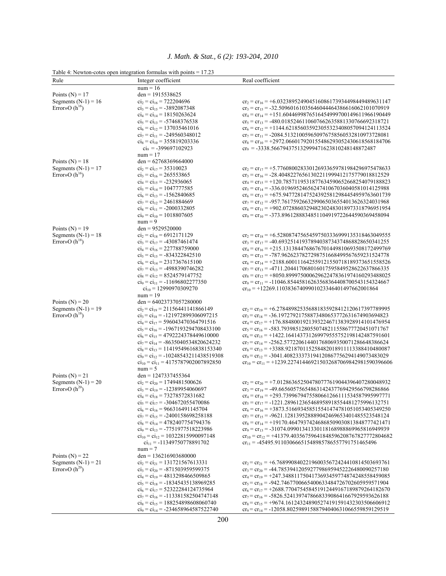|                       | Table 4: Newton-cotes open integration formulas with points $= 17.23$           |                                                                                                                                |
|-----------------------|---------------------------------------------------------------------------------|--------------------------------------------------------------------------------------------------------------------------------|
| Rule                  | Integer coefficient                                                             | Real coefficient                                                                                                               |
|                       | $num = 16$                                                                      |                                                                                                                                |
| Points $(N) = 17$     | den = $1915538625$                                                              |                                                                                                                                |
| Segments $(N-1) = 16$ | $ci_2 = ci_{16} = 722204696$                                                    | $cr_2 = cr_{16} = +6.032389524904516086173934498449489631147$                                                                  |
| Error»O $(h^{16})$    | $ci_3 = ci_{15} = -3892087348$                                                  | $cr_3 = cr_{15} = -32.50960161035646044464386616062101070919$                                                                  |
|                       | $ci_4 = ci_{14} = 18150263624$                                                  | $cr_4 = cr_{14} = +151.6044699876516454999700149611966190449$                                                                  |
|                       | $ci_5 = ci_{13} = -57468376538$                                                 | $cr_5 = cr_{13} = -480.0185246110607662635881330766692318721$                                                                  |
|                       | $ci_6 = ci_{12} = 137035461016$<br>$ci_7 = ci_{11} = -249560348012$             | $cr_6 = cr_{12} = +1144.621856035923055323408057094124113524$<br>$cr_7 = cr_{11} = -2084.513210059650976758560532810973728081$ |
|                       | $ci_8 = ci_{10} = 355819203336$                                                 | $cr_8 = cr_{10} = +2972.066017920155486293052430618568184706$                                                                  |
|                       | $ci_9 = -399697102923$                                                          | $cr_9 = -3338.566794375132999471623810248148872487$                                                                            |
|                       | $num = 17$                                                                      |                                                                                                                                |
| Points $(N) = 18$     | den = $62768369664000$                                                          |                                                                                                                                |
| Segments $(N-1) = 17$ | $ci_2 = ci_{17} = 35310023$                                                     | $cr_2 = cr_{17} = +5.776080028330126933659781984296975478633$                                                                  |
| Error» $O(h^{16})$    | $ci_3 = ci_{16} = 265553865$                                                    | $cr_3 = cr_{16} = -28.40482276561302211999412175779018812529$                                                                  |
|                       | $ci_4 = ci_{15} = -232936065$                                                   | $cr_4 = cr_{15} = +120.7857119531877634590652668254079188823$                                                                  |
|                       | $ci_5 = ci_{14} = 1047777585$                                                   | $cr_5 = cr_{14} = -336.0196952465624741067036040581014125988$                                                                  |
|                       | $ci_6 = ci_{13} = -1562840685$                                                  | $cr_6 = cr_{13} = +675.9477281475243925812984454959763601739$                                                                  |
|                       | $ci_7 = ci_{12} = 2461884669$                                                   | $cr_7 = cr_{12} = -957.7617592663299065036554013626324031968$                                                                  |
|                       | $ci_8 = ci_{11} = -2000332805$                                                  | $cr_8 = cr_{11} = +902.0728860329482302483018973318796951954$                                                                  |
|                       | $ci_9 = ci_{10} = 1018807605$                                                   | $cr_9 = cr_{10} = -373.8961288834851104919722644590369458094$                                                                  |
|                       | $num = 9$                                                                       |                                                                                                                                |
| Points $(N) = 19$     | $den = 9529520000$                                                              |                                                                                                                                |
| Segments $(N-1) = 18$ | $ci_2 = ci_{18} = 6912171129$                                                   | $cr_2 = cr_{18} = +6.528087475654597503336999135318463049555$                                                                  |
| Error» $O(h^{18})$    | $ci_3 = ci_{17} = -43087461474$                                                 | $cr_3 = cr_{17} = -40.69325141937894038734374868828650341255$                                                                  |
|                       | $ci_4 = ci_{16} = 227788759000$<br>$ci_5 = ci_{15} = -834322842510$             | $cr_4 = cr_{16} = +215.1313844768676701449810693508172499769$                                                                  |
|                       | $ci_6 = ci_{14} = 2317367615100$                                                | $cr_5 = cr_{15} = -787.9626237827298751668499567659231524778$<br>$cr_6 = cr_{14} = +2188.600111642559121550718189373651558526$ |
|                       | $ci_7 = ci_{13} = -4988390746282$                                               | $cr_7 = cr_{13} = -4711.204417068016017595849528622637866335$                                                                  |
|                       | $ci_8 = ci_{12} = 8524579147752$                                                | $cr_8 = cr_{12} = +8050.899975000629622478361974160293488025$                                                                  |
|                       | $ci_9 = ci_{11} = -11696802277350$                                              | $cr_9 = cr_{11} = -11046.85445816263568364408700543154324667$                                                                  |
|                       | $ci_{10} = 12990970309270$                                                      | $cr_{10} = +12269.11038367409901023346401497662001864$                                                                         |
|                       | $num = 19$                                                                      |                                                                                                                                |
| Points $(N) = 20$     | $den = 64023737057280000$                                                       |                                                                                                                                |
| Segments $(N-1) = 19$ | $ci_2 = ci_{19} = 21156441141866149$                                            | $cr_2 = cr_{19} = +6.278489825356881835928412120617397789995$                                                                  |
| Error» $O(h^{18})$    | $ci_3 = ci_{18} = -121972899306097215$                                          | $cr_3 = cr_{18} = -36.19727921758873480653772631674903694823$                                                                  |
|                       | $ci_4 = ci_{17} = 596043470364791516$                                           | $cr_4 = cr_{17} = +176.8848001921393224671383928914101476954$                                                                  |
|                       | $ci_5 = ci_{16} = -1967193294708433100$                                         | $cr_5 = cr_{16} = -583.7939851280550748211558677720451071767$                                                                  |
|                       | $ci_6 = ci_{15} = 4792224378449610000$                                          | $cr_6 = cr_{15} = +1422.164143731269979555752198142487591601$                                                                  |
|                       | $ci_7 = ci_{14} = -8635040534820624232$                                         | $cr_7 = cr_{14} = -2562.577220614401768069350071286648386624$                                                                  |
|                       | $ci_8 = ci_{13} = 11419549616838153340$                                         | $cr_s = cr_{13} = +3388.921870115258482018911113388410480087$                                                                  |
|                       | $ci_9 = ci_{12} = -10248543211438519308$                                        | $cr_9 = cr_{12} = -3041.408233373194120867756294149073483029$                                                                  |
|                       | $ci_{10} = ci_{11} = 4175787902007892850$<br>$num = 5$                          | $cr_{10} = cr_{11} = +1239.227414469215032687069842981590396606$                                                               |
| Points $(N) = 21$     | den = $1247337455364$                                                           |                                                                                                                                |
| Segments $(N-1) = 20$ | $ci_2 = ci_{20} = 1749481500626$                                                | $cr_2 = cr_{20} = +7.012863652504780777619044396407280048932$                                                                  |
| Error» $O(h^{20})$    | $ci_3 = ci_{19} = -12389954060697$                                              | $cr_3 = cr_{19} = -49.66560575654863142437769429566798286866$                                                                  |
|                       | $ci_4 = ci_{18} = 73278572831682$                                               | $cr_4 = cr_{18} = +293.7399679475580661266111534587995997771$                                                                  |
|                       | $ci_5 = ci_{17} = -304672055470086$                                             | $cr_5 = cr_{17} = -1221.289612365468958918554481275996132751$                                                                  |
|                       | $ci_6 = ci_{16} = 966316491145704$                                              | $cr_6 = cr_{16} = +3873.516693458515541474781051053405349250$                                                                  |
|                       | $ci_7 = ci_{15} = -2400158698258188$                                            | $cr_7 = cr_{15} = -9621.128139528889042469653401485523548124$                                                                  |
|                       | $ci_8 = ci_{14} = 4782407754794376$                                             | $cr_8 = cr_{14} = +19170.46479374246868509030813848777421471$                                                                  |
|                       | $ci_9 = ci_{13} = -7751977518223986$                                            | $cr_9 = cr_{13} = -31074.09901341330118168988869965816949939$                                                                  |
|                       | $ci_{10} = ci_{12} = 10322815990097148$                                         | $cr_{10} = cr_{12} = +41379.40356759641848596208767827772804682$                                                               |
|                       | $ci_{11} = -11349750778891702$                                                  | $cr_{11} = -45495.91103066651548985786557791751465496$                                                                         |
|                       | $num = 7$                                                                       |                                                                                                                                |
| Points $(N) = 22$     | $den = 136216903680000$                                                         |                                                                                                                                |
| Segments $(N-1) = 21$ | $ci_2 = ci_{21} = 131721567613331$                                              | $cr_2 = cr_{21} = +6.768990840221960035672424410814503693761$                                                                  |
| Error»O $(h^{20})$    | $ci_3 = ci_{20} = -871503959599375$                                             | $cr_3 = cr_{20} = -44.78539412059277986959452226480090257180$                                                                  |
|                       | $ci_4 = ci_{19} = 4813298466509865$                                             | $cr_4 = cr_{19} = +247.3488117504173693459774874248558459085$                                                                  |
|                       | $ci_5 = ci_{18} = -18345435138969285$                                           | $cr_5 = cr_{18} = -942.7467700665400633484726702605959571904$                                                                  |
|                       | $ci_6 = ci_{17} = 52322284124735964$                                            | $cr_6 = cr_{17} = +2688.770475458451912449167189879264182670$                                                                  |
|                       | $ci_7 = ci_{16} = -113381582504747148$<br>$ci_8 = ci_{15} = 188254898608060740$ | $cr_7 = cr_{16} = -5826.524139747866833908641667929593626188$<br>$cr_8 = cr_{15} = +9674.161243248905274191591432303506606912$ |
|                       | $ci_9 = ci_{14} = -234658964587522740$                                          | $cr_9 = cr_{14} = -12058.80259891588794040631066559859129519$                                                                  |
|                       |                                                                                 |                                                                                                                                |

*J. Math. & Stat., 6 (2): 193-204, 2010*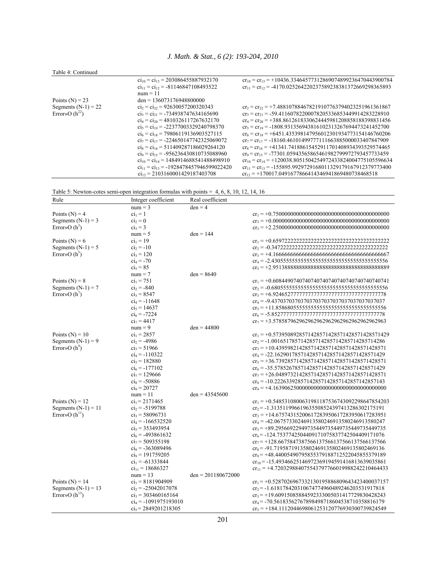## Table 4: Continued

|                       | $ci_{10} = ci_{13} = 203086455887932170$                     | $cr_{10} = cr_{13} = +10436.33464577312869074899236470443900784$ |
|-----------------------|--------------------------------------------------------------|------------------------------------------------------------------|
|                       | $\overline{c}_{11} = \overline{c}_{12} = -81146847108493522$ | $cr_{11} = cr_{12} = -4170.025264220237589238381372669298365893$ |
|                       | $num = 11$                                                   |                                                                  |
| Points $(N) = 23$     | $den = 136073176948800000$                                   |                                                                  |
| Segments $(N-1) = 22$ | $ci_2 = ci_2 = 92630057200320343$                            | $cr_2 = cr_2 = +7.488107884678219107763794023251961361867$       |
| Error»O $(h^{22})$    | $ci_3 = ci_{21} = -734938747634165690$                       | $cr_3 = cr_{21} = -59.41160782200078205336853449914283228910$    |
|                       | $ci_4 = ci_{20} = 4810326117267632170$                       | $cr_4 = cr_{20} = +388.8612618330624445981208858188398831456$    |
|                       | $ci_5 = ci_{19} = -22377003329240798370$                     | $cr_5 = cr_{19} = -1808.931356943816102313267694473241452700$    |
|                       | $ci_6 = ci_{18} = 79806119136903527115$                      | $cr_6 = cr_{18} = +6451.435398147956012301934773154146760206$    |
|                       | $ci_7 = ci_{17} = -224650147742325069072$                    | $cr_7 = cr_{17} = -18160.46101499777111663885000033407847909$    |
|                       | $ci_8 = ci_{16} = 511409287186029264120$                     | $cr_s = cr_{16} = +41341.74188615452911701408934393529574465$    |
|                       | $ci_9 = ci_{15} = -956236430810735088960$                    | $cr_9 = cr_{15} = -77301.05943565865461982799972793457733459$    |
|                       | $ci_{10} = ci_{14} = 1484914688541488498910$                 | $cr_{10} = cr_{14} = +120038.8051504254972433824004775105596634$ |
|                       | $ci_{11} = ci_{13} = -1928478457946599022420$                | $cr_{11} = cr_{13} = -155895.9929729168011329179167912379773400$ |
|                       | $ci_{12} = 2103160001429187403708$                           | $cr_{12} = +170017.0491677866414346941869480738468518$           |
|                       |                                                              |                                                                  |



| Rule                  | Integer coefficient     | Real coefficient     |                                                         |
|-----------------------|-------------------------|----------------------|---------------------------------------------------------|
|                       | $num = 3$               | $den = 4$            |                                                         |
| Points ( $N$ ) = 4    | $ci_1 = 1$              |                      |                                                         |
| Segments $(N-1) = 3$  | $\text{ci}_2 = 0$       |                      |                                                         |
| Error» $O(h^3)$       | $ci_3 = 3$              |                      |                                                         |
|                       | $num = 5$               | $den = 144$          |                                                         |
| Points ( $N$ ) = 6    | $ci_1 = 19$             |                      |                                                         |
| Segments $(N-1) = 5$  | $ci_2 = -10$            |                      |                                                         |
| Error» $O(h^5)$       | $ci_3 = 120$            |                      |                                                         |
|                       | $ci_4 = -70$            |                      | $cr_4 = -2.430555555555555555555555555555555555556$     |
|                       | $ci_5 = 85$             |                      |                                                         |
|                       | $num = 7$               | $den = 8640$         |                                                         |
| Points $(N) = 8$      | $ci_1 = 751$            |                      | $cr_1 = +0.6084490740740740740740740740740740740740741$ |
| Segments $(N-1) = 7$  | $ci_2 = -840$           |                      | $cr_2 = -0.68055555555555555555555555555555555556$      |
| Error» $O(h^7)$       | $ci_3 = 8547$           |                      | $cr_3 = +6.9246527777777777777777777777777777778$       |
|                       | $ci_4 = -11648$         |                      |                                                         |
|                       | $ci_5 = 14637$          |                      | $cr_5 = +11.8586805555555555555555555555555555556$      |
|                       | $ci_6 = -7224$          |                      | $cr_6 = -5.852777777777777777777777777777777778$        |
|                       | $ci_7 = 4417$           |                      | $cr_7 = +3.578587962962962962962962962962962962963$     |
|                       | $num = 9$               | $den = 44800$        |                                                         |
| Points ( $N$ ) = 10   | $ci_1 = 2857$           |                      | $cr_1 = +0.5739508928571428571428571428571428571429$    |
| Segments $(N-1) = 9$  | $ci_2$ = -4986          |                      | $cr_2 = -1.001651785714285714285714285714285714286$     |
| Error» $O(h^9)$       | $ci_3$ = 51966          |                      | $cr_3 = +10.43959821428571428571428571428571428571$     |
|                       | $ci_4 = -110322$        |                      | $cr_4 = -22.16290178571428571428571428571428571429$     |
|                       | $ci_5 = 182880$         |                      | $cr_5 = +36.73928571428571428571428571428571428571$     |
|                       | $ci_6 = -177102$        |                      | $cr_6 = -35.57852678571428571428571428571428571429$     |
|                       | $ci_7$ = 129666         |                      | $cr_7 = +26.04897321428571428571428571428571428571$     |
|                       | $ci_8 = -50886$         |                      | $cr_8 = -10.22263392857142857142857142857142857143$     |
|                       | $ci_9 = 20727$          |                      |                                                         |
|                       | $num = 11$              | $den = 43545600$     |                                                         |
| Points $(N) = 12$     | $ci_1$ = 2171465        |                      | $cr_1 = +0.5485310800631981187536743092298647854203$    |
| Segments $(N-1) = 11$ | $ci_2$ = -5199788       |                      | $cr_2$ = -1.313511996619635508524397413286302175191     |
| Error» $O(h^{11})$    | $ci_3$ = 58096731       |                      | $cr_3 = +14.67574315200617283950617283950617283951$     |
|                       | $ci_4 = -166532520$     |                      | $cr_4 = -42.06757330246913580246913580246913580247$     |
|                       | $ci_5$ = 353493954      |                      | $cr_5$ = +89.29566922949735449735449735449735449735     |
|                       | $ci_6$ = -493861632     |                      | $cr_6 = -124.7537742504409171075837742504409171076$     |
|                       | $ci_7$ = 509355198      |                      | $cr_7 = +128.6675847387566137566137566137566137566$     |
|                       | $ci_8 = -363089496$     |                      | $cr_8 = -91.71958719135802469135802469135802469136$     |
|                       | $ci_9$ = 191759205      |                      | $cr_9$ = +48.44005490795855379188712522045855379189     |
|                       | $ci_1 = -61333844$      |                      | $cr_{10} = -15.49346625146972369194591416813639035861$  |
|                       | $ci_{11} = 18686327$    |                      | $cr_{11}$ = +4.720329884075543797766019988242210464433  |
|                       | $num = 13$              | $den = 201180672000$ |                                                         |
| Points $(N) = 14$     | $ci_1$ = 8181904909     |                      | $cr_1 = +0.5287026967332130195886809643423400037157$    |
| Segments $(N-1) = 13$ | $ci_2$ = -25042017078   |                      | $cr_2 = -1.618178420310674774960489246203531917818$     |
| Error» $O(h^{13})$    | $ci_3$ = 303460165164   |                      | $cr_3 = +19.60915085884592333005031417729830428243$     |
|                       | $ci_4 = -1091975193010$ |                      | $cr_4$ = -70.56183562767898498718604538710358816179     |
|                       | $ci_5$ = 2849201218305  |                      | $cr_5 = +184.1112044698061253120776930300739824549$     |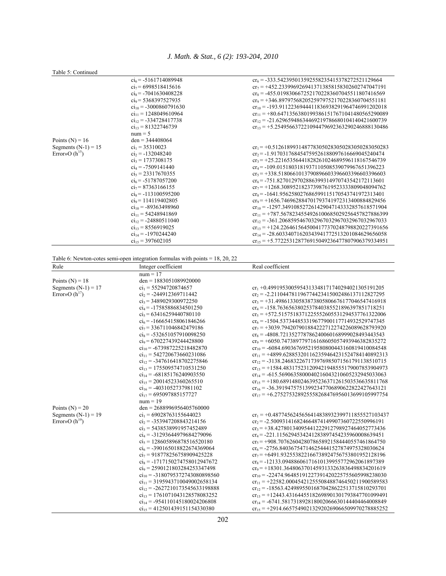## Table 5: Continued

| Taon J. Communi       |                            |                                                        |
|-----------------------|----------------------------|--------------------------------------------------------|
|                       | $ci_6$ = -5161714089948    | $cr_6 = -333.542395013592558235415378272521129664$     |
|                       | $ci_7$ = 6998518415616     | $cr_7 = +452.2339969269413713858158302602747047191$    |
|                       | $ci_8$ = -7041630408228    | $cr_s = -455.0198306672521702283607045511807416569$    |
|                       | $ci_9$ = 5368397527935     | $cr_9 = +346.8979756820525979752170228360704551181$    |
|                       | $ci_{10} = -3000860791630$ | $cr_{10} = -193.9112236944411836938291964746991202018$ |
|                       | $ci_{11} = 1248049610964$  | $cr_{11}$ = +80.64713563801993861517671041480565290089 |
|                       | $ci_{12} = -334728417738$  | $cr_{12} = -21.62965948634469219786680104140421600739$ |
|                       | $ci_{13} = 81322746739$    | $cr_{13} = +5.254956637221094479692363290246888130486$ |
|                       | $num = 5$                  |                                                        |
| Points $(N) = 16$     | $den = 344408064$          |                                                        |
| Segments $(N-1) = 15$ | $ci_1$ = 35310023          | $cr_1 = +0.5126189931487783050283050283050283050283$   |
| Error» $O(h^{15})$    | $ci_2$ = -132048240        | $cr_2 = -1.917031768454759526188097616669045240474$    |
|                       | $ci_3$ = 1737308175        | $cr_3 = +25.22165356441828261024689596118167546739$    |
|                       | $ci_4 = -7509141440$       | $cr_4 = -109.0151803181937110508539079967651396223$    |
|                       | $ci_5$ = 23317670355       | $cr_5 = +338.5180661013790896603396603396603396603$    |
|                       | $ci_6$ = -51787057200      | $cr_6 = -751.8270129702886399314970743542172113601$    |
|                       | $ci_7$ = 87363166155       | $cr_7 = +1268.308952182373987619523333809048094762$    |
|                       | $ci_8 = -113100595200$     | $cr_s = -1641.956258027686599115170543741972313401$    |
|                       | $ci_9$ = 114119402805      | $cr_9 = +1656.746962884701793741972313400884829456$    |
|                       | $ci_{10} = -89363498960$   | $cr_{10} = -1297.349108527261429047143332857618571904$ |
|                       | $ci_{11} = 54248941869$    | $cr_{11} = +787.5678234554926100685029256457827886399$ |
|                       | $ci_{12} = -24880511040$   | $cr_{12} = -361.2068595467032967032967032967032967033$ |
|                       | $ci_{13} = 8556919025$     | $cr_{13} = +124.2264615645004177370248798820227391656$ |
|                       | $ci_{14} = -1970244240$    | $cr_{14} = -28.60334071620343941772513201084629656058$ |
|                       | $ci_{15} = 397602105$      | $cr_{15} = +5.772253128776915049236477807906379334951$ |
|                       |                            |                                                        |

Table 6: Newton-cotes semi-open integration formulas with points = 18, 20, 22

| Rule                                                         | Integer coefficient                 | Real coefficient                                       |  |  |
|--------------------------------------------------------------|-------------------------------------|--------------------------------------------------------|--|--|
|                                                              | $num = 17$                          |                                                        |  |  |
| Points $(N) = 18$                                            | den = $1883051089920000$            |                                                        |  |  |
| Segments $(N-1) = 17$                                        | $ci_1$ = 55294720874657             | $cr_1$ +0.4991953005954313348171740294021305191205     |  |  |
| Error» $O(h^{17})$                                           | $ci_2$ = -244912369711442           | $cr_2 = -2.211044781196774423415002486137112827295$    |  |  |
|                                                              | $ci_3$ = 3489029300972250           | $cr_3 = +31.49861330583873805806676177046547416918$    |  |  |
|                                                              | $ci_4$ = -17585886834501250         | $cr_4 = -158.7636563802537840385521896397851718251$    |  |  |
|                                                              | $ci_5$ = 63416259440780110          | $cr_5 = +572.5157518371225552605531294537761322006$    |  |  |
|                                                              | $ci_6$ = -166654158061846266        | $cr_6 = -1504.537344853319677900117714932529747345$    |  |  |
|                                                              | $ci_7$ = 336711046842479186         | $cr_7 = +3039.794207901884222712274226089628793920$    |  |  |
|                                                              | $ci_8 = -532651057910098250$        | $cr_s = -4808.721352778786240060168999028493443543$    |  |  |
|                                                              | $ci_9$ = 670227439244428800         | $cr_9 = +6050.747389779716168605057493946382835272$    |  |  |
|                                                              | $ci_{10} = -673987225218482870$     | $cr_{10} = -6084.690367695219580800443160819410084548$ |  |  |
|                                                              | $ci_{11} = 542720673660231086$      | $cr_{11}$ = +4899.628853201162359464231524784140892313 |  |  |
|                                                              | $ci_{12} = -347616418702275846$     | $cr_{12} = -3138.246832267173976985071561791138510715$ |  |  |
|                                                              | $ci_{13}$ = 175509574710531250      | $cr_{13} = +1584.483175231209421948555179007853904973$ |  |  |
|                                                              | $ci_{14} = -68185176240903550$      | $cr_{14} = -615.5690635800040216043210605232945033063$ |  |  |
|                                                              | $ci_{15} = 20014523360265510$       | $cr_{15} = +180.6891480246395236371261503536635811768$ |  |  |
| $ci_{16} = -4031052737981102$<br>$ci_{17} = 695097885157727$ |                                     | $cr_{16} = -36.39194757513992347706890622822427643121$ |  |  |
|                                                              |                                     | $cr_{17} = +6.275275328925558268476956013699105997754$ |  |  |
|                                                              | $num = 19$                          |                                                        |  |  |
| Points $(N) = 20$                                            | den = $2688996956405760000$         |                                                        |  |  |
| Segments $(N-1) = 19$                                        | $ci_1$ = 69028763155644023          | $cr_1 = +0.4877456245656414838932399711855527103437$   |  |  |
| Error» $O(h^{19})$                                           | $ci_2$ = -353947208843214156        | $cr_2$ = -2.500931416824664874149907360722550996191    |  |  |
|                                                              | $ci_3$ = 5438538991957452489        | $cr_3 = +38.42780134095441222912798927464052773436$    |  |  |
|                                                              | $ci_4$ = -31293644979684279096      | $cr_4 = -221.1156294534241283897454235960008639451$    |  |  |
|                                                              | $ci_5$ = 128605896878516520180      | $cr_5 = +908.7076260428078658921584440557461864750$    |  |  |
|                                                              | $ci_6$ = -390165018822674369064     | $cr_6 = -2756.840367547146254441527874975328030624$    |  |  |
|                                                              | $ci_7$ = 918778256758909425228      | $cr_7$ = +6491.932553822166738924756753801952128196    |  |  |
|                                                              | $ci_8 = -1717150274758012947672$    | $cr_s = -12133.09488606171610139955772962061897389$    |  |  |
|                                                              | $ci_9$ = 2590121803284253347498     | $cr_9 = +18301.36480637014593133263836498834201619$    |  |  |
|                                                              | $ci_{10} = -3180795372743080898560$ | $cr_{10} = -22474.96485191227391420225755605998238030$ |  |  |
|                                                              | $ci_{11} = 3195943710049002658134$  | $cr_{11} = +22582.00045421255508488746450211900589583$ |  |  |
|                                                              | $ci_{12} = -2627210173545633198888$ | $cr_{12} = -18563.42498955016870428622513715810293701$ |  |  |
|                                                              | $ci_{13}$ = 1761071043128578083252  | $cr_{13} = +12443.43164455182698901301793847701099491$ |  |  |
|                                                              | $ci_{14} = -954110145180024206808$  | $cr_{14} = -6741.581731892818002066630144404464008849$ |  |  |
|                                                              | $ci_{15}$ = 412501439151154330380   | $cr_{15} = +2914.665754902132920269066509970278885252$ |  |  |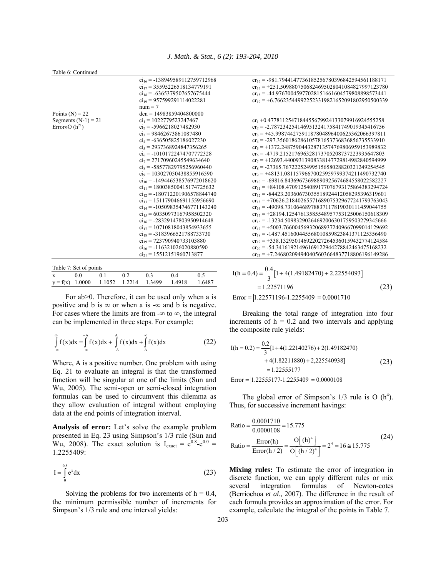|  | Table 6: Continued |
|--|--------------------|
|  |                    |

|                        | $ci_{16} = -138949589112759712968$ | $cr_{16} = -981.7944147736185256780396842594561188171$ |
|------------------------|------------------------------------|--------------------------------------------------------|
|                        | $ci_{17}$ = 35595226518134779191   | $cr_{17} = +251.5098807506824695028041084827997123780$ |
|                        | $ci_{18} = -6365379507657675444$   | $cr_{18} = -44.97670045977028151661604579808898573441$ |
|                        | $ci_{19}$ = 957599291114022281     | $cr_{19} = +6.766235449922523319821652091802950500339$ |
|                        | $num = 7$                          |                                                        |
| Points $(N) = 22$      | $den = 14983859404800000$          |                                                        |
| Segments $(N-1) = 21$  | $ci_1$ = 1022779523247467          | $cr_1 + 0.4778112547184455679924133079916924555258$    |
| Error»O $(h^{21})$     | $ci_2$ = -5966218027482930         | $cr_2 = -2.787234254146951324175841749019345416756$    |
|                        | $ci_3$ = 98462673861087480         | $cr_3 = +45.99874427591187804896400625362066397811$    |
|                        | $ci_4 = -636505825186027230$       | $cr_4 = -297.3560186286105781653736836856735533910$    |
|                        | $ci_5$ = 2937368924847356265       | $cr_s = +1372.248759044328713574769806959153989832$    |
|                        | $ci_6$ = -10101722474707772328     | $cr_6 = -4719.215217696328173705208737223935647803$    |
|                        | $ci_7$ = 27170960245549634640      | $cr_7 = +12693.44009313908338147729814982840594999$    |
|                        | $ci_8 = -58577829795256960440$     | $cr_s = -27365.76722252499515658028820321249254545$    |
|                        | $ci_9$ = 103027050438855916590     | $cr_9 = +48131.08115796670025959799374211490732740$    |
|                        | $ci_{10} = -149446538576972018620$ | $cr_{10} = -69816.84369673698890925674684558022582227$ |
|                        | $ci_{11} = 180038500415174725632$  | $cr_{11} = +84108.47091254089177076793175864383294724$ |
|                        | $ci_{12}$ = -180712201906578844740 | $cr_{12} = -84423.20360673035518924412058295396319601$ |
|                        | $ci_{13}$ = 151179046691155956690  | $cr_{13} = +70626.21840265571689075329677241793763043$ |
|                        | $ci_{14} = -105098354746771143240$ | $cr_{14} = -49098.73106468978837117819030111459044755$ |
|                        | $ci_{15} = 60350973167958502320$   | $cr_{15} = +28194.12547613585548957753125006150618309$ |
|                        | $ci_{16} = -28329147803950914648$  | $cr_{16} = -13234.50983290264692006301759503279345666$ |
|                        | $ci_{17}$ = 10710818043854933655   | $cr_{17} = +5003.766004569320689372409667099014129692$ |
|                        | $ci_{18} = -3183966521788733730$   | $cr_{18} = -1487.451600445568010859823841371125356490$ |
|                        | $ci_{19} = 723790940733103880$     | $cr_{19} = +338.1329501469220272645360159432774124584$ |
|                        | $c_{120} = -116321026020880590$    | $cr_{20} = -54.34161921496169122944278842463475168232$ |
|                        | $ci_{21} = 15512151960713877$      | $cr_{21} = +7.246802094940405603664837718806196149286$ |
|                        |                                    |                                                        |
| Table 7: Set of points |                                    | $0.4$ [1   4(1.40182470)   2.22554002]                 |
|                        |                                    | $L(h \cap A)$                                          |

| $-$ 0.000 $-$ 0.000 $-$ 0.000 $-$ 0.000 $-$ 0.000 $-$ |  |  |  |  |                                                      |  |
|-------------------------------------------------------|--|--|--|--|------------------------------------------------------|--|
|                                                       |  |  |  |  | x 0.0 0.1 0.2 0.3 0.4 0.5                            |  |
|                                                       |  |  |  |  | $y = f(x)$ 1.0000 1.1052 1.2214 1.3499 1.4918 1.6487 |  |
|                                                       |  |  |  |  |                                                      |  |

For ab 
ightarrow Therefore, it can be used only when a is positive and b is  $\infty$  or when a is - $\infty$  and b is negative. For cases where the limits are from  $-\infty$  to  $\infty$ , the integral can be implemented in three steps. For example:

$$
\int_{-\infty}^{\infty} f(x) dx = \int_{-\infty}^{-A} f(x) dx + \int_{-A}^{A} f(x) dx + \int_{A}^{\infty} f(x) dx
$$
 (22)

Where, A is a positive number. One problem with using Eq. 21 to evaluate an integral is that the transformed function will be singular at one of the limits (Sun and Wu, 2005). The semi-open or semi-closed integration formulas can be used to circumvent this dilemma as they allow evaluation of integral without employing data at the end points of integration interval.

**Analysis of error:** Let's solve the example problem presented in Eq. 23 using Simpson's 1/3 rule (Sun and Wu, 2008). The exact solution is  $I_{\text{exact}} = e^{0.8} - e^{0.0} =$ 1.2255409:

$$
I = \int_{0}^{0.8} e^{x} dx
$$
 (23)

Solving the problems for two increments of  $h = 0.4$ , the minimum permissible number of increments for Simpson's 1/3 rule and one interval yields:

$$
I(h = 0.4) = \frac{0.4}{3} [1 + 4(1.49182470) + 2.22554093]
$$
  
= 1.22571196  
Error = |1.22571196-1.2255409| = 0.0001710 (23)

 Breaking the total range of integration into four increments of  $h = 0.2$  and two intervals and applying the composite rule yields:

$$
I(h = 0.2) = \frac{0.2}{3} [1 + 4(1.22140276) + 2(1.49182470) + 4(1.82211880) + 2,225540938] = 1.22555177
$$
 (23)

 $\text{Error} = |1.22555177 - 1.2255409| = 0.0000108$ 

The global error of Simpson's  $1/3$  rule is O  $(h<sup>4</sup>)$ . Thus, for successive increment havings:

Ratio = 
$$
\frac{0.0001710}{0.0000108} = 15.775
$$
  
Ratio =  $\frac{\text{Error}(h)}{\text{Error}(h/2)} = \frac{O[(h)^4]}{O[(h/2)^4]} = 2^4 = 16 \approx 15.775$  (24)

**Mixing rules:** To estimate the error of integration in discrete function, we can apply different rules or mix several integration formulas of Newton-cotes (Berriochoa *et al*., 2007). The difference in the result of each formula provides an approximation of the error. For example, calculate the integral of the points in Table 7.